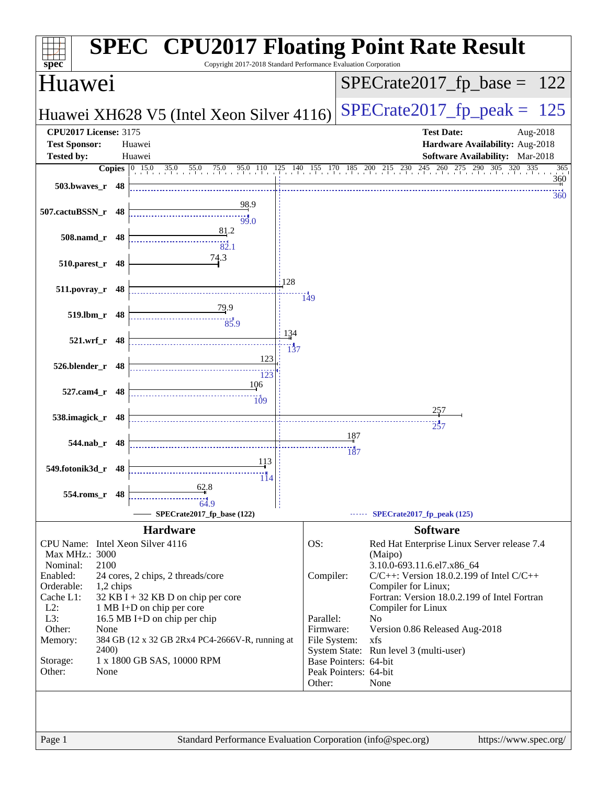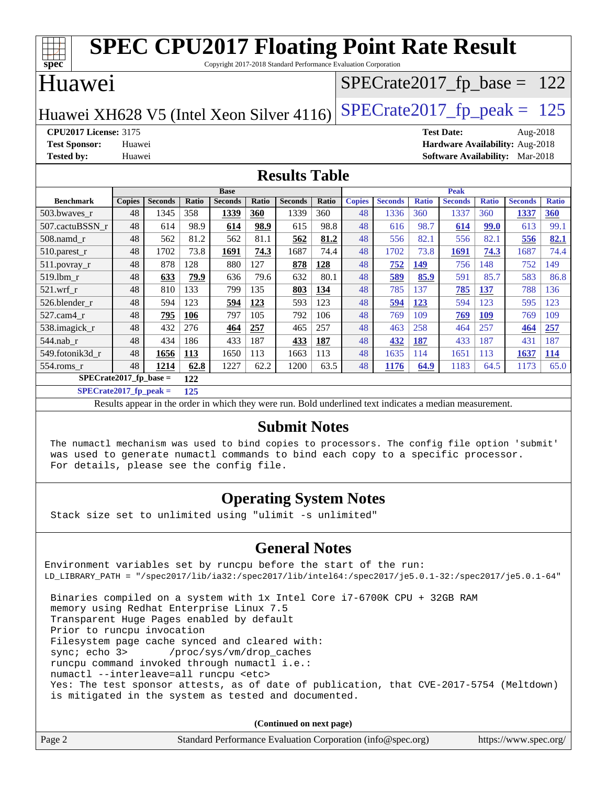| <b>SPEC CPU2017 Floating Point Rate Result</b><br>$Spec^*$<br>Copyright 2017-2018 Standard Performance Evaluation Corporation |                                                  |                |       |                |              |                |       |               |                |              |                |              |                               |              |
|-------------------------------------------------------------------------------------------------------------------------------|--------------------------------------------------|----------------|-------|----------------|--------------|----------------|-------|---------------|----------------|--------------|----------------|--------------|-------------------------------|--------------|
| Huawei                                                                                                                        |                                                  |                |       |                |              |                |       |               |                |              |                |              | $SPECrate2017_fp\_base = 122$ |              |
| $SPECTate2017$ _fp_peak = 125<br>Huawei XH628 V5 (Intel Xeon Silver 4116)                                                     |                                                  |                |       |                |              |                |       |               |                |              |                |              |                               |              |
| <b>CPU2017 License: 3175</b><br><b>Test Date:</b><br>Aug-2018                                                                 |                                                  |                |       |                |              |                |       |               |                |              |                |              |                               |              |
| Hardware Availability: Aug-2018<br><b>Test Sponsor:</b><br>Huawei                                                             |                                                  |                |       |                |              |                |       |               |                |              |                |              |                               |              |
| <b>Tested by:</b>                                                                                                             | <b>Software Availability:</b> Mar-2018<br>Huawei |                |       |                |              |                |       |               |                |              |                |              |                               |              |
| <b>Results Table</b>                                                                                                          |                                                  |                |       |                |              |                |       |               |                |              |                |              |                               |              |
|                                                                                                                               |                                                  |                |       | <b>Base</b>    |              |                |       |               |                |              | <b>Peak</b>    |              |                               |              |
| <b>Benchmark</b>                                                                                                              | <b>Copies</b>                                    | <b>Seconds</b> | Ratio | <b>Seconds</b> | <b>Ratio</b> | <b>Seconds</b> | Ratio | <b>Copies</b> | <b>Seconds</b> | <b>Ratio</b> | <b>Seconds</b> | <b>Ratio</b> | <b>Seconds</b>                | <b>Ratio</b> |
| 503.bwaves_r                                                                                                                  | 48                                               | 1345           | 358   | 1339           | 360          | 1339           | 360   | 48            | 1336           | 360          | 1337           | 360          | 1337                          | 360          |
| 507.cactuBSSN_r                                                                                                               | 48                                               | 614            | 98.9  | 614            | 98.9         | 615            | 98.8  | 48            | 616            | 98.7         | 614            | 99.0         | 613                           | 99.1         |
| $508$ .namd $r$                                                                                                               | 48                                               | 562            | 81.2  | 562            | 81.1         | 562            | 81.2  | 48            | 556            | 82.1         | 556            | 82.1         | 556                           | 82.1         |
| 510.parest_r                                                                                                                  | 48                                               | 1702           | 73.8  | 1691           | 74.3         | 1687           | 74.4  | 48            | 1702           | 73.8         | 1691           | 74.3         | 1687                          | 74.4         |
| 511.povray_r                                                                                                                  | 48                                               | 878            | 128   | 880            | 127          | 878            | 128   | 48            | 752            | 149          | 756            | 148          | 752                           | 149          |
| 519.lbm r                                                                                                                     | 48                                               | 633            | 79.9  | 636            | 79.6         | 632            | 80.1  | 48            | 589            | 85.9         | 591            | 85.7         | 583                           | 86.8         |
| 521.wrf r                                                                                                                     | 48                                               | 810            | 133   | 799            | 135          | 803            | 134   | 48            | 785            | 137          | 785            | 137          | 788                           | 136          |
| 526.blender r                                                                                                                 | 48                                               | 594            | 123   | 594            | 123          | 593            | 123   | 48            | 594            | 123          | 594            | 123          | 595                           | 123          |
| 527.cam4 r                                                                                                                    | 48                                               | 795            | 106   | 797            | 105          | 792            | 106   | 48            | 769            | 109          | 769            | <b>109</b>   | 769                           | 109          |
| 538.imagick_r                                                                                                                 | 48                                               | 432            | 276   | 464            | 257          | 465            | 257   | 48            | 463            | 258          | 464            | 257          | 464                           | 257          |
| 544.nab_r                                                                                                                     | 48                                               | 434            | 186   | 433            | 187          | 433            | 187   | 48            | 432            | 187          | 433            | 187          | 431                           | 187          |
| 549.fotonik3d_r                                                                                                               | 48                                               | 1656           | 113   | 1650           | 113          | 1663           | 113   | 48            | 1635           | 114          | 1651           | 113          | 1637                          | 114          |
| 554.roms_r                                                                                                                    | 48                                               | 1214           | 62.8  | 1227           | 62.2         | 1200           | 63.5  | 48            | 1176           | 64.9         | 1183           | 64.5         | 1173                          | 65.0         |

**[SPECrate2017\\_fp\\_base =](http://www.spec.org/auto/cpu2017/Docs/result-fields.html#SPECrate2017fpbase) 122**

**[SPECrate2017\\_fp\\_peak =](http://www.spec.org/auto/cpu2017/Docs/result-fields.html#SPECrate2017fppeak) 125**

Results appear in the [order in which they were run.](http://www.spec.org/auto/cpu2017/Docs/result-fields.html#RunOrder) Bold underlined text [indicates a median measurement.](http://www.spec.org/auto/cpu2017/Docs/result-fields.html#Median)

#### **[Submit Notes](http://www.spec.org/auto/cpu2017/Docs/result-fields.html#SubmitNotes)**

 The numactl mechanism was used to bind copies to processors. The config file option 'submit' was used to generate numactl commands to bind each copy to a specific processor. For details, please see the config file.

### **[Operating System Notes](http://www.spec.org/auto/cpu2017/Docs/result-fields.html#OperatingSystemNotes)**

Stack size set to unlimited using "ulimit -s unlimited"

### **[General Notes](http://www.spec.org/auto/cpu2017/Docs/result-fields.html#GeneralNotes)**

Environment variables set by runcpu before the start of the run: LD\_LIBRARY\_PATH = "/spec2017/lib/ia32:/spec2017/lib/intel64:/spec2017/je5.0.1-32:/spec2017/je5.0.1-64" Binaries compiled on a system with 1x Intel Core i7-6700K CPU + 32GB RAM memory using Redhat Enterprise Linux 7.5 Transparent Huge Pages enabled by default Prior to runcpu invocation

Filesystem page cache synced and cleared with:

 sync; echo 3> /proc/sys/vm/drop\_caches runcpu command invoked through numactl i.e.:

numactl --interleave=all runcpu <etc>

 Yes: The test sponsor attests, as of date of publication, that CVE-2017-5754 (Meltdown) is mitigated in the system as tested and documented.

**(Continued on next page)**

| Page 2 | Standard Performance Evaluation Corporation (info@spec.org) | https://www.spec.org/ |
|--------|-------------------------------------------------------------|-----------------------|
|--------|-------------------------------------------------------------|-----------------------|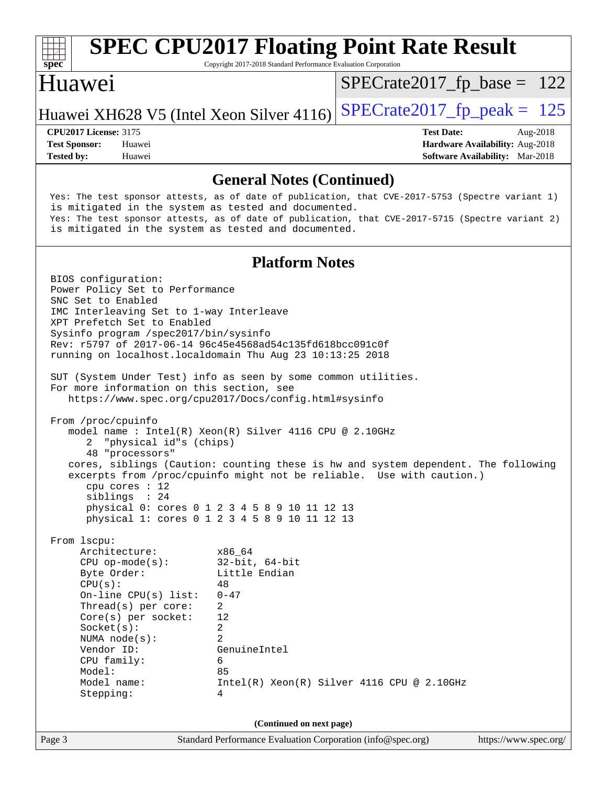

Copyright 2017-2018 Standard Performance Evaluation Corporation

### Huawei

 $SPECTate2017_fp\_base = 122$ 

Huawei XH628 V5 (Intel Xeon Silver 4116) SPECrate  $2017$  fp peak = 125

**[Tested by:](http://www.spec.org/auto/cpu2017/Docs/result-fields.html#Testedby)** Huawei **[Software Availability:](http://www.spec.org/auto/cpu2017/Docs/result-fields.html#SoftwareAvailability)** Mar-2018

**[CPU2017 License:](http://www.spec.org/auto/cpu2017/Docs/result-fields.html#CPU2017License)** 3175 **[Test Date:](http://www.spec.org/auto/cpu2017/Docs/result-fields.html#TestDate)** Aug-2018 **[Test Sponsor:](http://www.spec.org/auto/cpu2017/Docs/result-fields.html#TestSponsor)** Huawei **[Hardware Availability:](http://www.spec.org/auto/cpu2017/Docs/result-fields.html#HardwareAvailability)** Aug-2018

#### **[General Notes \(Continued\)](http://www.spec.org/auto/cpu2017/Docs/result-fields.html#GeneralNotes)**

 Yes: The test sponsor attests, as of date of publication, that CVE-2017-5753 (Spectre variant 1) is mitigated in the system as tested and documented. Yes: The test sponsor attests, as of date of publication, that CVE-2017-5715 (Spectre variant 2) is mitigated in the system as tested and documented.

### **[Platform Notes](http://www.spec.org/auto/cpu2017/Docs/result-fields.html#PlatformNotes)**

Page 3 Standard Performance Evaluation Corporation [\(info@spec.org\)](mailto:info@spec.org) <https://www.spec.org/> BIOS configuration: Power Policy Set to Performance SNC Set to Enabled IMC Interleaving Set to 1-way Interleave XPT Prefetch Set to Enabled Sysinfo program /spec2017/bin/sysinfo Rev: r5797 of 2017-06-14 96c45e4568ad54c135fd618bcc091c0f running on localhost.localdomain Thu Aug 23 10:13:25 2018 SUT (System Under Test) info as seen by some common utilities. For more information on this section, see <https://www.spec.org/cpu2017/Docs/config.html#sysinfo> From /proc/cpuinfo model name : Intel(R) Xeon(R) Silver 4116 CPU @ 2.10GHz 2 "physical id"s (chips) 48 "processors" cores, siblings (Caution: counting these is hw and system dependent. The following excerpts from /proc/cpuinfo might not be reliable. Use with caution.) cpu cores : 12 siblings : 24 physical 0: cores 0 1 2 3 4 5 8 9 10 11 12 13 physical 1: cores 0 1 2 3 4 5 8 9 10 11 12 13 From lscpu: Architecture: x86\_64 CPU op-mode(s): 32-bit, 64-bit Byte Order: Little Endian  $CPU(s):$  48 On-line CPU(s) list: 0-47 Thread(s) per core: 2 Core(s) per socket: 12 Socket(s): 2 NUMA node(s): 2 Vendor ID: GenuineIntel CPU family: 6 Model: 85 Model name:  $Intel(R)$  Xeon(R) Silver 4116 CPU @ 2.10GHz Stepping: 4 **(Continued on next page)**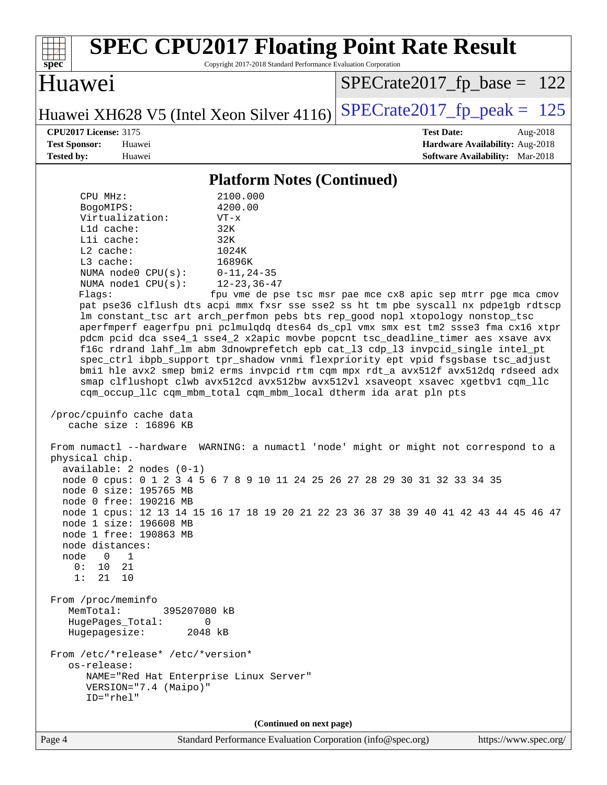| <b>SPEC CPU2017 Floating Point Rate Result</b><br>spec<br>Copyright 2017-2018 Standard Performance Evaluation Corporation                                                                                                                                                                                                                                                                                                                                                                                                                                                                                                                                                                                                                                                                                                                                                                                                                                                                                                                                                                                                                                                                                                                                                                                                                                                                                                                                                                                                                                                                                                                                                                                                                                                                                                                                                   |                                                                                                            |
|-----------------------------------------------------------------------------------------------------------------------------------------------------------------------------------------------------------------------------------------------------------------------------------------------------------------------------------------------------------------------------------------------------------------------------------------------------------------------------------------------------------------------------------------------------------------------------------------------------------------------------------------------------------------------------------------------------------------------------------------------------------------------------------------------------------------------------------------------------------------------------------------------------------------------------------------------------------------------------------------------------------------------------------------------------------------------------------------------------------------------------------------------------------------------------------------------------------------------------------------------------------------------------------------------------------------------------------------------------------------------------------------------------------------------------------------------------------------------------------------------------------------------------------------------------------------------------------------------------------------------------------------------------------------------------------------------------------------------------------------------------------------------------------------------------------------------------------------------------------------------------|------------------------------------------------------------------------------------------------------------|
| Huawei                                                                                                                                                                                                                                                                                                                                                                                                                                                                                                                                                                                                                                                                                                                                                                                                                                                                                                                                                                                                                                                                                                                                                                                                                                                                                                                                                                                                                                                                                                                                                                                                                                                                                                                                                                                                                                                                      | $SPECrate2017_fp\_base = 122$                                                                              |
| Huawei XH628 V5 (Intel Xeon Silver 4116)                                                                                                                                                                                                                                                                                                                                                                                                                                                                                                                                                                                                                                                                                                                                                                                                                                                                                                                                                                                                                                                                                                                                                                                                                                                                                                                                                                                                                                                                                                                                                                                                                                                                                                                                                                                                                                    | $SPECTate2017$ _fp_peak = 125                                                                              |
| <b>CPU2017 License: 3175</b><br><b>Test Sponsor:</b><br>Huawei<br><b>Tested by:</b><br>Huawei                                                                                                                                                                                                                                                                                                                                                                                                                                                                                                                                                                                                                                                                                                                                                                                                                                                                                                                                                                                                                                                                                                                                                                                                                                                                                                                                                                                                                                                                                                                                                                                                                                                                                                                                                                               | <b>Test Date:</b><br>Aug-2018<br>Hardware Availability: Aug-2018<br><b>Software Availability:</b> Mar-2018 |
| <b>Platform Notes (Continued)</b>                                                                                                                                                                                                                                                                                                                                                                                                                                                                                                                                                                                                                                                                                                                                                                                                                                                                                                                                                                                                                                                                                                                                                                                                                                                                                                                                                                                                                                                                                                                                                                                                                                                                                                                                                                                                                                           |                                                                                                            |
| 2100.000<br>CPU MHz:<br>4200.00<br>BogoMIPS:<br>Virtualization:<br>$VT - x$<br>$L1d$ cache:<br>32K<br>Lli cache:<br>32K<br>L2 cache:<br>1024K<br>L3 cache:<br>16896K<br>NUMA node0 CPU(s):<br>$0 - 11, 24 - 35$<br>NUMA nodel CPU(s):<br>$12 - 23, 36 - 47$<br>Flags:<br>pat pse36 clflush dts acpi mmx fxsr sse sse2 ss ht tm pbe syscall nx pdpelgb rdtscp<br>lm constant_tsc art arch_perfmon pebs bts rep_good nopl xtopology nonstop_tsc<br>aperfmperf eagerfpu pni pclmulqdq dtes64 ds_cpl vmx smx est tm2 ssse3 fma cx16 xtpr<br>pdcm pcid dca sse4_1 sse4_2 x2apic movbe popcnt tsc_deadline_timer aes xsave avx<br>f16c rdrand lahf_lm abm 3dnowprefetch epb cat_13 cdp_13 invpcid_single intel_pt<br>spec_ctrl ibpb_support tpr_shadow vnmi flexpriority ept vpid fsgsbase tsc_adjust<br>bmil hle avx2 smep bmi2 erms invpcid rtm cqm mpx rdt_a avx512f avx512dq rdseed adx<br>smap clflushopt clwb avx512cd avx512bw avx512vl xsaveopt xsavec xgetbvl cqm_llc<br>cqm_occup_llc cqm_mbm_total cqm_mbm_local dtherm ida arat pln pts<br>/proc/cpuinfo cache data<br>cache size : $16896$ KB<br>From numactl --hardware WARNING: a numactl 'node' might or might not correspond to a<br>physical chip.<br>$available: 2 nodes (0-1)$<br>node 0 cpus: 0 1 2 3 4 5 6 7 8 9 10 11 24 25 26 27 28 29 30 31 32 33 34 35<br>node 0 size: 195765 MB<br>node 0 free: 190216 MB<br>node 1 cpus: 12 13 14 15 16 17 18 19 20 21 22 23 36 37 38 39 40 41 42 43 44 45 46 47<br>node 1 size: 196608 MB<br>node 1 free: 190863 MB<br>node distances:<br>node<br>$\overline{\phantom{0}}$<br>$\overline{1}$<br>0: 10 21<br>1:<br>21 10<br>From /proc/meminfo<br>MemTotal:<br>395207080 kB<br>HugePages_Total:<br>0<br>Hugepagesize:<br>2048 kB<br>From /etc/*release* /etc/*version*<br>os-release:<br>NAME="Red Hat Enterprise Linux Server"<br>VERSION="7.4 (Maipo)"<br>ID="rhel" | fpu vme de pse tsc msr pae mce cx8 apic sep mtrr pge mca cmov                                              |
| (Continued on next page)<br>Standard Performance Evaluation Corporation (info@spec.org)<br>Page 4                                                                                                                                                                                                                                                                                                                                                                                                                                                                                                                                                                                                                                                                                                                                                                                                                                                                                                                                                                                                                                                                                                                                                                                                                                                                                                                                                                                                                                                                                                                                                                                                                                                                                                                                                                           | https://www.spec.org/                                                                                      |
|                                                                                                                                                                                                                                                                                                                                                                                                                                                                                                                                                                                                                                                                                                                                                                                                                                                                                                                                                                                                                                                                                                                                                                                                                                                                                                                                                                                                                                                                                                                                                                                                                                                                                                                                                                                                                                                                             |                                                                                                            |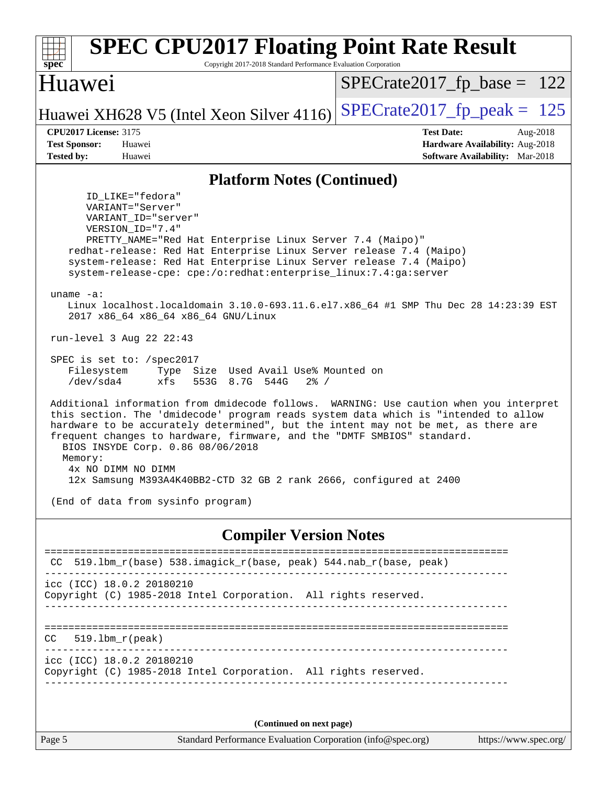| <b>SPEC CPU2017 Floating Point Rate Result</b><br>Copyright 2017-2018 Standard Performance Evaluation Corporation<br>spec <sup>®</sup>                                                                                                                                                                                                                                                                                                                                                     |                                                                                                            |  |  |  |
|--------------------------------------------------------------------------------------------------------------------------------------------------------------------------------------------------------------------------------------------------------------------------------------------------------------------------------------------------------------------------------------------------------------------------------------------------------------------------------------------|------------------------------------------------------------------------------------------------------------|--|--|--|
| Huawei                                                                                                                                                                                                                                                                                                                                                                                                                                                                                     | $SPECrate2017_fp\_base = 122$                                                                              |  |  |  |
| Huawei XH628 V5 (Intel Xeon Silver 4116)                                                                                                                                                                                                                                                                                                                                                                                                                                                   | $SPECTate2017$ _fp_peak = 125                                                                              |  |  |  |
| <b>CPU2017 License: 3175</b><br><b>Test Sponsor:</b><br>Huawei<br><b>Tested by:</b><br>Huawei                                                                                                                                                                                                                                                                                                                                                                                              | <b>Test Date:</b><br>Aug-2018<br>Hardware Availability: Aug-2018<br><b>Software Availability:</b> Mar-2018 |  |  |  |
|                                                                                                                                                                                                                                                                                                                                                                                                                                                                                            |                                                                                                            |  |  |  |
| <b>Platform Notes (Continued)</b><br>ID LIKE="fedora"                                                                                                                                                                                                                                                                                                                                                                                                                                      |                                                                                                            |  |  |  |
| VARIANT="Server"<br>VARIANT ID="server"<br>VERSION_ID="7.4"<br>PRETTY_NAME="Red Hat Enterprise Linux Server 7.4 (Maipo)"<br>redhat-release: Red Hat Enterprise Linux Server release 7.4 (Maipo)<br>system-release: Red Hat Enterprise Linux Server release 7.4 (Maipo)<br>system-release-cpe: cpe:/o:redhat:enterprise_linux:7.4:ga:server<br>uname $-a$ :<br>Linux localhost.localdomain 3.10.0-693.11.6.el7.x86_64 #1 SMP Thu Dec 28 14:23:39 EST<br>2017 x86_64 x86_64 x86_64 GNU/Linux |                                                                                                            |  |  |  |
| run-level 3 Aug 22 22:43                                                                                                                                                                                                                                                                                                                                                                                                                                                                   |                                                                                                            |  |  |  |
| SPEC is set to: /spec2017<br>Filesystem<br>Type Size Used Avail Use% Mounted on<br>/dev/sda4<br>xfs<br>553G 8.7G 544G<br>$2\frac{8}{1}$ /                                                                                                                                                                                                                                                                                                                                                  |                                                                                                            |  |  |  |
| Additional information from dmidecode follows. WARNING: Use caution when you interpret<br>this section. The 'dmidecode' program reads system data which is "intended to allow<br>hardware to be accurately determined", but the intent may not be met, as there are<br>frequent changes to hardware, firmware, and the "DMTF SMBIOS" standard.<br>BIOS INSYDE Corp. 0.86 08/06/2018<br>Memory:<br>4x NO DIMM NO DIMM<br>12x Samsung M393A4K40BB2-CTD 32 GB 2 rank 2666, configured at 2400 |                                                                                                            |  |  |  |
| (End of data from sysinfo program)                                                                                                                                                                                                                                                                                                                                                                                                                                                         |                                                                                                            |  |  |  |
| <b>Compiler Version Notes</b>                                                                                                                                                                                                                                                                                                                                                                                                                                                              |                                                                                                            |  |  |  |
| 519.1bm_r(base) 538.imagick_r(base, peak) 544.nab_r(base, peak)<br>CC                                                                                                                                                                                                                                                                                                                                                                                                                      |                                                                                                            |  |  |  |
| icc (ICC) 18.0.2 20180210<br>Copyright (C) 1985-2018 Intel Corporation. All rights reserved.                                                                                                                                                                                                                                                                                                                                                                                               |                                                                                                            |  |  |  |
| $519.1bm_r(peak)$<br>CC.                                                                                                                                                                                                                                                                                                                                                                                                                                                                   |                                                                                                            |  |  |  |
| icc (ICC) 18.0.2 20180210<br>Copyright (C) 1985-2018 Intel Corporation. All rights reserved.                                                                                                                                                                                                                                                                                                                                                                                               |                                                                                                            |  |  |  |
| (Continued on next page)                                                                                                                                                                                                                                                                                                                                                                                                                                                                   |                                                                                                            |  |  |  |
| Standard Performance Evaluation Corporation (info@spec.org)<br>Page 5                                                                                                                                                                                                                                                                                                                                                                                                                      | https://www.spec.org/                                                                                      |  |  |  |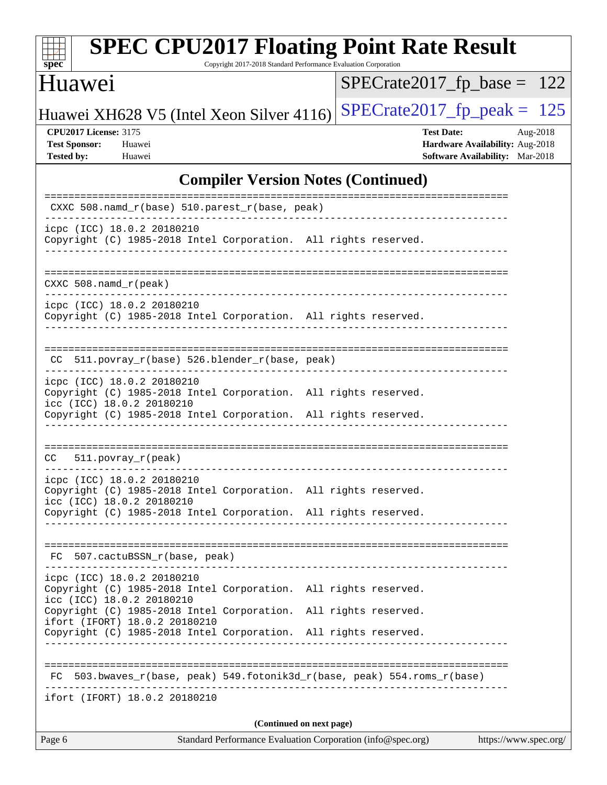| SI<br>æ<br>0<br>I<br>L. |  |  |  |  |  |
|-------------------------|--|--|--|--|--|

Copyright 2017-2018 Standard Performance Evaluation Corporation

# Huawei

[SPECrate2017\\_fp\\_base =](http://www.spec.org/auto/cpu2017/Docs/result-fields.html#SPECrate2017fpbase) 122

Huawei XH628 V5 (Intel Xeon Silver 4116) SPECrate  $2017$  fp peak = 125

**[CPU2017 License:](http://www.spec.org/auto/cpu2017/Docs/result-fields.html#CPU2017License)** 3175 **[Test Date:](http://www.spec.org/auto/cpu2017/Docs/result-fields.html#TestDate)** Aug-2018 **[Test Sponsor:](http://www.spec.org/auto/cpu2017/Docs/result-fields.html#TestSponsor)** Huawei **[Hardware Availability:](http://www.spec.org/auto/cpu2017/Docs/result-fields.html#HardwareAvailability)** Aug-2018 **[Tested by:](http://www.spec.org/auto/cpu2017/Docs/result-fields.html#Testedby)** Huawei **[Software Availability:](http://www.spec.org/auto/cpu2017/Docs/result-fields.html#SoftwareAvailability)** Mar-2018

### **[Compiler Version Notes \(Continued\)](http://www.spec.org/auto/cpu2017/Docs/result-fields.html#CompilerVersionNotes)**

| Standard Performance Evaluation Corporation (info@spec.org)<br>Page 6<br>https://www.spec.org/                             |  |  |  |  |  |  |
|----------------------------------------------------------------------------------------------------------------------------|--|--|--|--|--|--|
| (Continued on next page)                                                                                                   |  |  |  |  |  |  |
| ifort (IFORT) 18.0.2 20180210                                                                                              |  |  |  |  |  |  |
| FC 503.bwaves_r(base, peak) 549.fotonik3d_r(base, peak) 554.roms_r(base)                                                   |  |  |  |  |  |  |
| Copyright (C) 1985-2018 Intel Corporation. All rights reserved.                                                            |  |  |  |  |  |  |
| Copyright (C) 1985-2018 Intel Corporation. All rights reserved.<br>ifort (IFORT) 18.0.2 20180210                           |  |  |  |  |  |  |
| icpc (ICC) 18.0.2 20180210<br>Copyright (C) 1985-2018 Intel Corporation. All rights reserved.<br>icc (ICC) 18.0.2 20180210 |  |  |  |  |  |  |
| FC 507.cactuBSSN_r(base, peak)                                                                                             |  |  |  |  |  |  |
| Copyright (C) 1985-2018 Intel Corporation. All rights reserved.                                                            |  |  |  |  |  |  |
| icpc (ICC) 18.0.2 20180210<br>Copyright (C) 1985-2018 Intel Corporation. All rights reserved.<br>icc (ICC) 18.0.2 20180210 |  |  |  |  |  |  |
| $CC = 511. povray_r (peak)$<br>. _ _ _ _ _ _ _ _ _ _ _ _ _ _ _                                                             |  |  |  |  |  |  |
|                                                                                                                            |  |  |  |  |  |  |
| icc (ICC) 18.0.2 20180210<br>Copyright (C) 1985-2018 Intel Corporation. All rights reserved.                               |  |  |  |  |  |  |
| icpc (ICC) 18.0.2 20180210<br>Copyright (C) 1985-2018 Intel Corporation. All rights reserved.                              |  |  |  |  |  |  |
| CC 511.povray_r(base) 526.blender_r(base, peak)<br>------------------------------                                          |  |  |  |  |  |  |
| icpc (ICC) 18.0.2 20180210<br>Copyright (C) 1985-2018 Intel Corporation. All rights reserved.                              |  |  |  |  |  |  |
| $CXXC 508.namd_r (peak)$                                                                                                   |  |  |  |  |  |  |
| Copyright (C) 1985-2018 Intel Corporation. All rights reserved.<br>_______________________________                         |  |  |  |  |  |  |
| icpc (ICC) 18.0.2 20180210                                                                                                 |  |  |  |  |  |  |
| CXXC 508.namd_r(base) 510.parest_r(base, peak)                                                                             |  |  |  |  |  |  |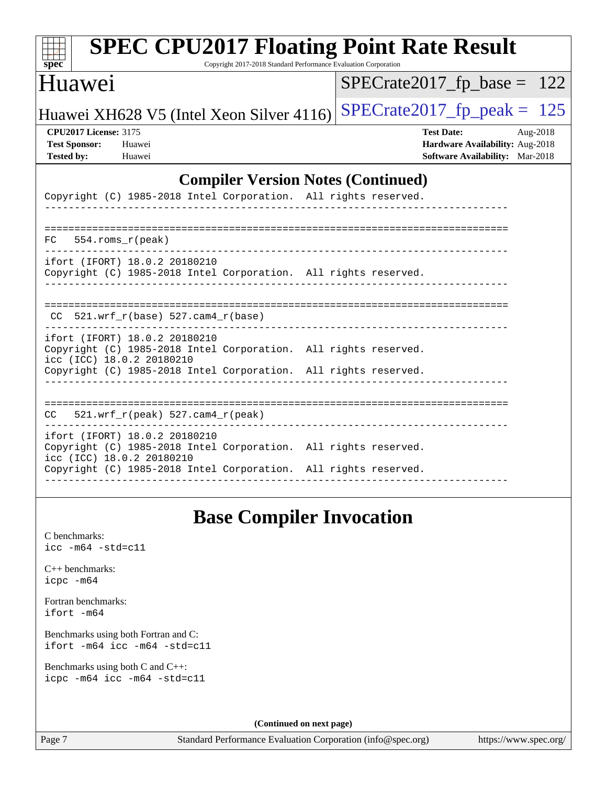| <b>SPEC CPU2017 Floating Point Rate Result</b><br>Copyright 2017-2018 Standard Performance Evaluation Corporation<br>$spec^*$ |                                                                                                            |
|-------------------------------------------------------------------------------------------------------------------------------|------------------------------------------------------------------------------------------------------------|
| Huawei                                                                                                                        | $SPECrate2017_fp\_base = 122$                                                                              |
| Huawei XH628 V5 (Intel Xeon Silver 4116)                                                                                      | $SPECrate2017fp peak =$<br>125                                                                             |
| <b>CPU2017 License: 3175</b><br><b>Test Sponsor:</b><br>Huawei<br><b>Tested by:</b><br>Huawei                                 | <b>Test Date:</b><br>Aug-2018<br>Hardware Availability: Aug-2018<br><b>Software Availability:</b> Mar-2018 |
| <b>Compiler Version Notes (Continued)</b>                                                                                     |                                                                                                            |
| Copyright (C) 1985-2018 Intel Corporation. All rights reserved.                                                               |                                                                                                            |
|                                                                                                                               |                                                                                                            |
| 554.roms_r(peak)<br>FC.                                                                                                       |                                                                                                            |
| ifort (IFORT) 18.0.2 20180210<br>Copyright (C) 1985-2018 Intel Corporation. All rights reserved.                              |                                                                                                            |
| $CC$ 521.wrf_r(base) 527.cam4_r(base)                                                                                         |                                                                                                            |
| ifort (IFORT) 18.0.2 20180210<br>Copyright (C) 1985-2018 Intel Corporation. All rights reserved.<br>icc (ICC) 18.0.2 20180210 |                                                                                                            |
| Copyright (C) 1985-2018 Intel Corporation. All rights reserved.                                                               |                                                                                                            |
|                                                                                                                               |                                                                                                            |
| 521.wrf_r(peak) 527.cam4_r(peak)<br>CC                                                                                        |                                                                                                            |
| ifort (IFORT) 18.0.2 20180210<br>Copyright (C) 1985-2018 Intel Corporation. All rights reserved.<br>icc (ICC) 18.0.2 20180210 |                                                                                                            |
| Copyright (C) 1985-2018 Intel Corporation. All rights reserved.                                                               |                                                                                                            |
|                                                                                                                               |                                                                                                            |

# **[Base Compiler Invocation](http://www.spec.org/auto/cpu2017/Docs/result-fields.html#BaseCompilerInvocation)**

[C benchmarks](http://www.spec.org/auto/cpu2017/Docs/result-fields.html#Cbenchmarks): [icc -m64 -std=c11](http://www.spec.org/cpu2017/results/res2018q4/cpu2017-20181008-09127.flags.html#user_CCbase_intel_icc_64bit_c11_33ee0cdaae7deeeab2a9725423ba97205ce30f63b9926c2519791662299b76a0318f32ddfffdc46587804de3178b4f9328c46fa7c2b0cd779d7a61945c91cd35)

[C++ benchmarks:](http://www.spec.org/auto/cpu2017/Docs/result-fields.html#CXXbenchmarks) [icpc -m64](http://www.spec.org/cpu2017/results/res2018q4/cpu2017-20181008-09127.flags.html#user_CXXbase_intel_icpc_64bit_4ecb2543ae3f1412ef961e0650ca070fec7b7afdcd6ed48761b84423119d1bf6bdf5cad15b44d48e7256388bc77273b966e5eb805aefd121eb22e9299b2ec9d9)

[Fortran benchmarks](http://www.spec.org/auto/cpu2017/Docs/result-fields.html#Fortranbenchmarks): [ifort -m64](http://www.spec.org/cpu2017/results/res2018q4/cpu2017-20181008-09127.flags.html#user_FCbase_intel_ifort_64bit_24f2bb282fbaeffd6157abe4f878425411749daecae9a33200eee2bee2fe76f3b89351d69a8130dd5949958ce389cf37ff59a95e7a40d588e8d3a57e0c3fd751)

[Benchmarks using both Fortran and C](http://www.spec.org/auto/cpu2017/Docs/result-fields.html#BenchmarksusingbothFortranandC): [ifort -m64](http://www.spec.org/cpu2017/results/res2018q4/cpu2017-20181008-09127.flags.html#user_CC_FCbase_intel_ifort_64bit_24f2bb282fbaeffd6157abe4f878425411749daecae9a33200eee2bee2fe76f3b89351d69a8130dd5949958ce389cf37ff59a95e7a40d588e8d3a57e0c3fd751) [icc -m64 -std=c11](http://www.spec.org/cpu2017/results/res2018q4/cpu2017-20181008-09127.flags.html#user_CC_FCbase_intel_icc_64bit_c11_33ee0cdaae7deeeab2a9725423ba97205ce30f63b9926c2519791662299b76a0318f32ddfffdc46587804de3178b4f9328c46fa7c2b0cd779d7a61945c91cd35)

[Benchmarks using both C and C++](http://www.spec.org/auto/cpu2017/Docs/result-fields.html#BenchmarksusingbothCandCXX): [icpc -m64](http://www.spec.org/cpu2017/results/res2018q4/cpu2017-20181008-09127.flags.html#user_CC_CXXbase_intel_icpc_64bit_4ecb2543ae3f1412ef961e0650ca070fec7b7afdcd6ed48761b84423119d1bf6bdf5cad15b44d48e7256388bc77273b966e5eb805aefd121eb22e9299b2ec9d9) [icc -m64 -std=c11](http://www.spec.org/cpu2017/results/res2018q4/cpu2017-20181008-09127.flags.html#user_CC_CXXbase_intel_icc_64bit_c11_33ee0cdaae7deeeab2a9725423ba97205ce30f63b9926c2519791662299b76a0318f32ddfffdc46587804de3178b4f9328c46fa7c2b0cd779d7a61945c91cd35)

**(Continued on next page)**

Page 7 Standard Performance Evaluation Corporation [\(info@spec.org\)](mailto:info@spec.org) <https://www.spec.org/>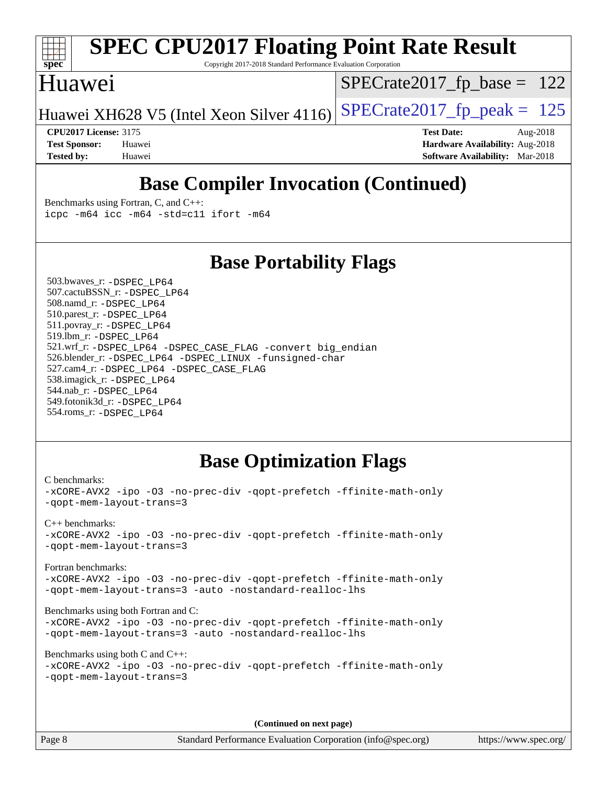

Copyright 2017-2018 Standard Performance Evaluation Corporation

### Huawei

[SPECrate2017\\_fp\\_base =](http://www.spec.org/auto/cpu2017/Docs/result-fields.html#SPECrate2017fpbase) 122

Huawei XH628 V5 (Intel Xeon Silver 4116) SPECrate  $2017$  fp peak = 125

**[CPU2017 License:](http://www.spec.org/auto/cpu2017/Docs/result-fields.html#CPU2017License)** 3175 **[Test Date:](http://www.spec.org/auto/cpu2017/Docs/result-fields.html#TestDate)** Aug-2018 **[Test Sponsor:](http://www.spec.org/auto/cpu2017/Docs/result-fields.html#TestSponsor)** Huawei **[Hardware Availability:](http://www.spec.org/auto/cpu2017/Docs/result-fields.html#HardwareAvailability)** Aug-2018 **[Tested by:](http://www.spec.org/auto/cpu2017/Docs/result-fields.html#Testedby)** Huawei **[Software Availability:](http://www.spec.org/auto/cpu2017/Docs/result-fields.html#SoftwareAvailability)** Mar-2018

# **[Base Compiler Invocation \(Continued\)](http://www.spec.org/auto/cpu2017/Docs/result-fields.html#BaseCompilerInvocation)**

[Benchmarks using Fortran, C, and C++:](http://www.spec.org/auto/cpu2017/Docs/result-fields.html#BenchmarksusingFortranCandCXX) [icpc -m64](http://www.spec.org/cpu2017/results/res2018q4/cpu2017-20181008-09127.flags.html#user_CC_CXX_FCbase_intel_icpc_64bit_4ecb2543ae3f1412ef961e0650ca070fec7b7afdcd6ed48761b84423119d1bf6bdf5cad15b44d48e7256388bc77273b966e5eb805aefd121eb22e9299b2ec9d9) [icc -m64 -std=c11](http://www.spec.org/cpu2017/results/res2018q4/cpu2017-20181008-09127.flags.html#user_CC_CXX_FCbase_intel_icc_64bit_c11_33ee0cdaae7deeeab2a9725423ba97205ce30f63b9926c2519791662299b76a0318f32ddfffdc46587804de3178b4f9328c46fa7c2b0cd779d7a61945c91cd35) [ifort -m64](http://www.spec.org/cpu2017/results/res2018q4/cpu2017-20181008-09127.flags.html#user_CC_CXX_FCbase_intel_ifort_64bit_24f2bb282fbaeffd6157abe4f878425411749daecae9a33200eee2bee2fe76f3b89351d69a8130dd5949958ce389cf37ff59a95e7a40d588e8d3a57e0c3fd751)

### **[Base Portability Flags](http://www.spec.org/auto/cpu2017/Docs/result-fields.html#BasePortabilityFlags)**

 503.bwaves\_r: [-DSPEC\\_LP64](http://www.spec.org/cpu2017/results/res2018q4/cpu2017-20181008-09127.flags.html#suite_basePORTABILITY503_bwaves_r_DSPEC_LP64) 507.cactuBSSN\_r: [-DSPEC\\_LP64](http://www.spec.org/cpu2017/results/res2018q4/cpu2017-20181008-09127.flags.html#suite_basePORTABILITY507_cactuBSSN_r_DSPEC_LP64) 508.namd\_r: [-DSPEC\\_LP64](http://www.spec.org/cpu2017/results/res2018q4/cpu2017-20181008-09127.flags.html#suite_basePORTABILITY508_namd_r_DSPEC_LP64) 510.parest\_r: [-DSPEC\\_LP64](http://www.spec.org/cpu2017/results/res2018q4/cpu2017-20181008-09127.flags.html#suite_basePORTABILITY510_parest_r_DSPEC_LP64) 511.povray\_r: [-DSPEC\\_LP64](http://www.spec.org/cpu2017/results/res2018q4/cpu2017-20181008-09127.flags.html#suite_basePORTABILITY511_povray_r_DSPEC_LP64) 519.lbm\_r: [-DSPEC\\_LP64](http://www.spec.org/cpu2017/results/res2018q4/cpu2017-20181008-09127.flags.html#suite_basePORTABILITY519_lbm_r_DSPEC_LP64) 521.wrf\_r: [-DSPEC\\_LP64](http://www.spec.org/cpu2017/results/res2018q4/cpu2017-20181008-09127.flags.html#suite_basePORTABILITY521_wrf_r_DSPEC_LP64) [-DSPEC\\_CASE\\_FLAG](http://www.spec.org/cpu2017/results/res2018q4/cpu2017-20181008-09127.flags.html#b521.wrf_r_baseCPORTABILITY_DSPEC_CASE_FLAG) [-convert big\\_endian](http://www.spec.org/cpu2017/results/res2018q4/cpu2017-20181008-09127.flags.html#user_baseFPORTABILITY521_wrf_r_convert_big_endian_c3194028bc08c63ac5d04de18c48ce6d347e4e562e8892b8bdbdc0214820426deb8554edfa529a3fb25a586e65a3d812c835984020483e7e73212c4d31a38223) 526.blender\_r: [-DSPEC\\_LP64](http://www.spec.org/cpu2017/results/res2018q4/cpu2017-20181008-09127.flags.html#suite_basePORTABILITY526_blender_r_DSPEC_LP64) [-DSPEC\\_LINUX](http://www.spec.org/cpu2017/results/res2018q4/cpu2017-20181008-09127.flags.html#b526.blender_r_baseCPORTABILITY_DSPEC_LINUX) [-funsigned-char](http://www.spec.org/cpu2017/results/res2018q4/cpu2017-20181008-09127.flags.html#user_baseCPORTABILITY526_blender_r_force_uchar_40c60f00ab013830e2dd6774aeded3ff59883ba5a1fc5fc14077f794d777847726e2a5858cbc7672e36e1b067e7e5c1d9a74f7176df07886a243d7cc18edfe67) 527.cam4\_r: [-DSPEC\\_LP64](http://www.spec.org/cpu2017/results/res2018q4/cpu2017-20181008-09127.flags.html#suite_basePORTABILITY527_cam4_r_DSPEC_LP64) [-DSPEC\\_CASE\\_FLAG](http://www.spec.org/cpu2017/results/res2018q4/cpu2017-20181008-09127.flags.html#b527.cam4_r_baseCPORTABILITY_DSPEC_CASE_FLAG) 538.imagick\_r: [-DSPEC\\_LP64](http://www.spec.org/cpu2017/results/res2018q4/cpu2017-20181008-09127.flags.html#suite_basePORTABILITY538_imagick_r_DSPEC_LP64) 544.nab\_r: [-DSPEC\\_LP64](http://www.spec.org/cpu2017/results/res2018q4/cpu2017-20181008-09127.flags.html#suite_basePORTABILITY544_nab_r_DSPEC_LP64) 549.fotonik3d\_r: [-DSPEC\\_LP64](http://www.spec.org/cpu2017/results/res2018q4/cpu2017-20181008-09127.flags.html#suite_basePORTABILITY549_fotonik3d_r_DSPEC_LP64) 554.roms\_r: [-DSPEC\\_LP64](http://www.spec.org/cpu2017/results/res2018q4/cpu2017-20181008-09127.flags.html#suite_basePORTABILITY554_roms_r_DSPEC_LP64)

### **[Base Optimization Flags](http://www.spec.org/auto/cpu2017/Docs/result-fields.html#BaseOptimizationFlags)**

[C benchmarks](http://www.spec.org/auto/cpu2017/Docs/result-fields.html#Cbenchmarks): [-xCORE-AVX2](http://www.spec.org/cpu2017/results/res2018q4/cpu2017-20181008-09127.flags.html#user_CCbase_f-xCORE-AVX2) [-ipo](http://www.spec.org/cpu2017/results/res2018q4/cpu2017-20181008-09127.flags.html#user_CCbase_f-ipo) [-O3](http://www.spec.org/cpu2017/results/res2018q4/cpu2017-20181008-09127.flags.html#user_CCbase_f-O3) [-no-prec-div](http://www.spec.org/cpu2017/results/res2018q4/cpu2017-20181008-09127.flags.html#user_CCbase_f-no-prec-div) [-qopt-prefetch](http://www.spec.org/cpu2017/results/res2018q4/cpu2017-20181008-09127.flags.html#user_CCbase_f-qopt-prefetch) [-ffinite-math-only](http://www.spec.org/cpu2017/results/res2018q4/cpu2017-20181008-09127.flags.html#user_CCbase_f_finite_math_only_cb91587bd2077682c4b38af759c288ed7c732db004271a9512da14a4f8007909a5f1427ecbf1a0fb78ff2a814402c6114ac565ca162485bbcae155b5e4258871) [-qopt-mem-layout-trans=3](http://www.spec.org/cpu2017/results/res2018q4/cpu2017-20181008-09127.flags.html#user_CCbase_f-qopt-mem-layout-trans_de80db37974c74b1f0e20d883f0b675c88c3b01e9d123adea9b28688d64333345fb62bc4a798493513fdb68f60282f9a726aa07f478b2f7113531aecce732043) [C++ benchmarks:](http://www.spec.org/auto/cpu2017/Docs/result-fields.html#CXXbenchmarks) [-xCORE-AVX2](http://www.spec.org/cpu2017/results/res2018q4/cpu2017-20181008-09127.flags.html#user_CXXbase_f-xCORE-AVX2) [-ipo](http://www.spec.org/cpu2017/results/res2018q4/cpu2017-20181008-09127.flags.html#user_CXXbase_f-ipo) [-O3](http://www.spec.org/cpu2017/results/res2018q4/cpu2017-20181008-09127.flags.html#user_CXXbase_f-O3) [-no-prec-div](http://www.spec.org/cpu2017/results/res2018q4/cpu2017-20181008-09127.flags.html#user_CXXbase_f-no-prec-div) [-qopt-prefetch](http://www.spec.org/cpu2017/results/res2018q4/cpu2017-20181008-09127.flags.html#user_CXXbase_f-qopt-prefetch) [-ffinite-math-only](http://www.spec.org/cpu2017/results/res2018q4/cpu2017-20181008-09127.flags.html#user_CXXbase_f_finite_math_only_cb91587bd2077682c4b38af759c288ed7c732db004271a9512da14a4f8007909a5f1427ecbf1a0fb78ff2a814402c6114ac565ca162485bbcae155b5e4258871) [-qopt-mem-layout-trans=3](http://www.spec.org/cpu2017/results/res2018q4/cpu2017-20181008-09127.flags.html#user_CXXbase_f-qopt-mem-layout-trans_de80db37974c74b1f0e20d883f0b675c88c3b01e9d123adea9b28688d64333345fb62bc4a798493513fdb68f60282f9a726aa07f478b2f7113531aecce732043) [Fortran benchmarks](http://www.spec.org/auto/cpu2017/Docs/result-fields.html#Fortranbenchmarks): [-xCORE-AVX2](http://www.spec.org/cpu2017/results/res2018q4/cpu2017-20181008-09127.flags.html#user_FCbase_f-xCORE-AVX2) [-ipo](http://www.spec.org/cpu2017/results/res2018q4/cpu2017-20181008-09127.flags.html#user_FCbase_f-ipo) [-O3](http://www.spec.org/cpu2017/results/res2018q4/cpu2017-20181008-09127.flags.html#user_FCbase_f-O3) [-no-prec-div](http://www.spec.org/cpu2017/results/res2018q4/cpu2017-20181008-09127.flags.html#user_FCbase_f-no-prec-div) [-qopt-prefetch](http://www.spec.org/cpu2017/results/res2018q4/cpu2017-20181008-09127.flags.html#user_FCbase_f-qopt-prefetch) [-ffinite-math-only](http://www.spec.org/cpu2017/results/res2018q4/cpu2017-20181008-09127.flags.html#user_FCbase_f_finite_math_only_cb91587bd2077682c4b38af759c288ed7c732db004271a9512da14a4f8007909a5f1427ecbf1a0fb78ff2a814402c6114ac565ca162485bbcae155b5e4258871) [-qopt-mem-layout-trans=3](http://www.spec.org/cpu2017/results/res2018q4/cpu2017-20181008-09127.flags.html#user_FCbase_f-qopt-mem-layout-trans_de80db37974c74b1f0e20d883f0b675c88c3b01e9d123adea9b28688d64333345fb62bc4a798493513fdb68f60282f9a726aa07f478b2f7113531aecce732043) [-auto](http://www.spec.org/cpu2017/results/res2018q4/cpu2017-20181008-09127.flags.html#user_FCbase_f-auto) [-nostandard-realloc-lhs](http://www.spec.org/cpu2017/results/res2018q4/cpu2017-20181008-09127.flags.html#user_FCbase_f_2003_std_realloc_82b4557e90729c0f113870c07e44d33d6f5a304b4f63d4c15d2d0f1fab99f5daaed73bdb9275d9ae411527f28b936061aa8b9c8f2d63842963b95c9dd6426b8a) [Benchmarks using both Fortran and C](http://www.spec.org/auto/cpu2017/Docs/result-fields.html#BenchmarksusingbothFortranandC): [-xCORE-AVX2](http://www.spec.org/cpu2017/results/res2018q4/cpu2017-20181008-09127.flags.html#user_CC_FCbase_f-xCORE-AVX2) [-ipo](http://www.spec.org/cpu2017/results/res2018q4/cpu2017-20181008-09127.flags.html#user_CC_FCbase_f-ipo) [-O3](http://www.spec.org/cpu2017/results/res2018q4/cpu2017-20181008-09127.flags.html#user_CC_FCbase_f-O3) [-no-prec-div](http://www.spec.org/cpu2017/results/res2018q4/cpu2017-20181008-09127.flags.html#user_CC_FCbase_f-no-prec-div) [-qopt-prefetch](http://www.spec.org/cpu2017/results/res2018q4/cpu2017-20181008-09127.flags.html#user_CC_FCbase_f-qopt-prefetch) [-ffinite-math-only](http://www.spec.org/cpu2017/results/res2018q4/cpu2017-20181008-09127.flags.html#user_CC_FCbase_f_finite_math_only_cb91587bd2077682c4b38af759c288ed7c732db004271a9512da14a4f8007909a5f1427ecbf1a0fb78ff2a814402c6114ac565ca162485bbcae155b5e4258871) [-qopt-mem-layout-trans=3](http://www.spec.org/cpu2017/results/res2018q4/cpu2017-20181008-09127.flags.html#user_CC_FCbase_f-qopt-mem-layout-trans_de80db37974c74b1f0e20d883f0b675c88c3b01e9d123adea9b28688d64333345fb62bc4a798493513fdb68f60282f9a726aa07f478b2f7113531aecce732043) [-auto](http://www.spec.org/cpu2017/results/res2018q4/cpu2017-20181008-09127.flags.html#user_CC_FCbase_f-auto) [-nostandard-realloc-lhs](http://www.spec.org/cpu2017/results/res2018q4/cpu2017-20181008-09127.flags.html#user_CC_FCbase_f_2003_std_realloc_82b4557e90729c0f113870c07e44d33d6f5a304b4f63d4c15d2d0f1fab99f5daaed73bdb9275d9ae411527f28b936061aa8b9c8f2d63842963b95c9dd6426b8a) [Benchmarks using both C and C++](http://www.spec.org/auto/cpu2017/Docs/result-fields.html#BenchmarksusingbothCandCXX): [-xCORE-AVX2](http://www.spec.org/cpu2017/results/res2018q4/cpu2017-20181008-09127.flags.html#user_CC_CXXbase_f-xCORE-AVX2) [-ipo](http://www.spec.org/cpu2017/results/res2018q4/cpu2017-20181008-09127.flags.html#user_CC_CXXbase_f-ipo) [-O3](http://www.spec.org/cpu2017/results/res2018q4/cpu2017-20181008-09127.flags.html#user_CC_CXXbase_f-O3) [-no-prec-div](http://www.spec.org/cpu2017/results/res2018q4/cpu2017-20181008-09127.flags.html#user_CC_CXXbase_f-no-prec-div) [-qopt-prefetch](http://www.spec.org/cpu2017/results/res2018q4/cpu2017-20181008-09127.flags.html#user_CC_CXXbase_f-qopt-prefetch) [-ffinite-math-only](http://www.spec.org/cpu2017/results/res2018q4/cpu2017-20181008-09127.flags.html#user_CC_CXXbase_f_finite_math_only_cb91587bd2077682c4b38af759c288ed7c732db004271a9512da14a4f8007909a5f1427ecbf1a0fb78ff2a814402c6114ac565ca162485bbcae155b5e4258871) [-qopt-mem-layout-trans=3](http://www.spec.org/cpu2017/results/res2018q4/cpu2017-20181008-09127.flags.html#user_CC_CXXbase_f-qopt-mem-layout-trans_de80db37974c74b1f0e20d883f0b675c88c3b01e9d123adea9b28688d64333345fb62bc4a798493513fdb68f60282f9a726aa07f478b2f7113531aecce732043)

**(Continued on next page)**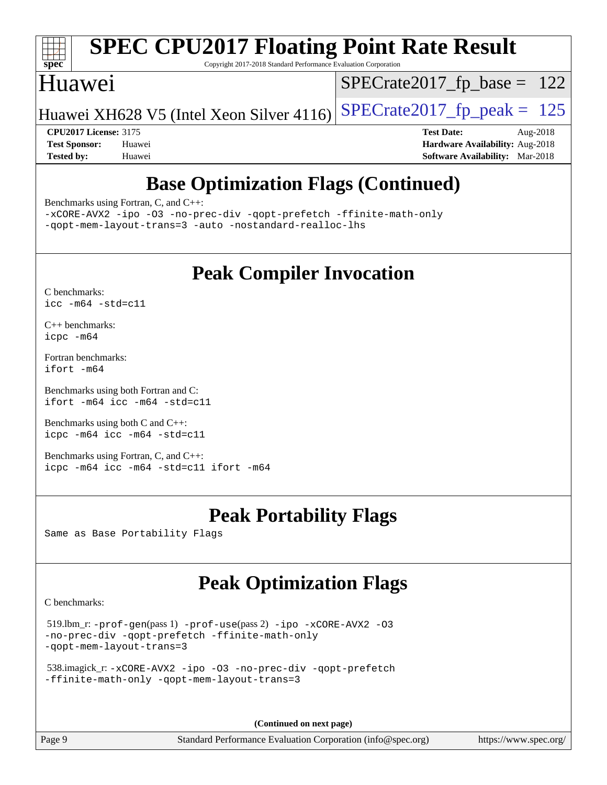

Copyright 2017-2018 Standard Performance Evaluation Corporation

### Huawei

 $SPECTate2017_fp\_base = 122$ 

Huawei XH628 V5 (Intel Xeon Silver 4116) SPECrate  $2017$  fp peak = 125

**[CPU2017 License:](http://www.spec.org/auto/cpu2017/Docs/result-fields.html#CPU2017License)** 3175 **[Test Date:](http://www.spec.org/auto/cpu2017/Docs/result-fields.html#TestDate)** Aug-2018

**[Test Sponsor:](http://www.spec.org/auto/cpu2017/Docs/result-fields.html#TestSponsor)** Huawei **[Hardware Availability:](http://www.spec.org/auto/cpu2017/Docs/result-fields.html#HardwareAvailability)** Aug-2018 **[Tested by:](http://www.spec.org/auto/cpu2017/Docs/result-fields.html#Testedby)** Huawei **[Software Availability:](http://www.spec.org/auto/cpu2017/Docs/result-fields.html#SoftwareAvailability)** Mar-2018

# **[Base Optimization Flags \(Continued\)](http://www.spec.org/auto/cpu2017/Docs/result-fields.html#BaseOptimizationFlags)**

[Benchmarks using Fortran, C, and C++:](http://www.spec.org/auto/cpu2017/Docs/result-fields.html#BenchmarksusingFortranCandCXX)

[-xCORE-AVX2](http://www.spec.org/cpu2017/results/res2018q4/cpu2017-20181008-09127.flags.html#user_CC_CXX_FCbase_f-xCORE-AVX2) [-ipo](http://www.spec.org/cpu2017/results/res2018q4/cpu2017-20181008-09127.flags.html#user_CC_CXX_FCbase_f-ipo) [-O3](http://www.spec.org/cpu2017/results/res2018q4/cpu2017-20181008-09127.flags.html#user_CC_CXX_FCbase_f-O3) [-no-prec-div](http://www.spec.org/cpu2017/results/res2018q4/cpu2017-20181008-09127.flags.html#user_CC_CXX_FCbase_f-no-prec-div) [-qopt-prefetch](http://www.spec.org/cpu2017/results/res2018q4/cpu2017-20181008-09127.flags.html#user_CC_CXX_FCbase_f-qopt-prefetch) [-ffinite-math-only](http://www.spec.org/cpu2017/results/res2018q4/cpu2017-20181008-09127.flags.html#user_CC_CXX_FCbase_f_finite_math_only_cb91587bd2077682c4b38af759c288ed7c732db004271a9512da14a4f8007909a5f1427ecbf1a0fb78ff2a814402c6114ac565ca162485bbcae155b5e4258871) [-qopt-mem-layout-trans=3](http://www.spec.org/cpu2017/results/res2018q4/cpu2017-20181008-09127.flags.html#user_CC_CXX_FCbase_f-qopt-mem-layout-trans_de80db37974c74b1f0e20d883f0b675c88c3b01e9d123adea9b28688d64333345fb62bc4a798493513fdb68f60282f9a726aa07f478b2f7113531aecce732043) [-auto](http://www.spec.org/cpu2017/results/res2018q4/cpu2017-20181008-09127.flags.html#user_CC_CXX_FCbase_f-auto) [-nostandard-realloc-lhs](http://www.spec.org/cpu2017/results/res2018q4/cpu2017-20181008-09127.flags.html#user_CC_CXX_FCbase_f_2003_std_realloc_82b4557e90729c0f113870c07e44d33d6f5a304b4f63d4c15d2d0f1fab99f5daaed73bdb9275d9ae411527f28b936061aa8b9c8f2d63842963b95c9dd6426b8a)

# **[Peak Compiler Invocation](http://www.spec.org/auto/cpu2017/Docs/result-fields.html#PeakCompilerInvocation)**

[C benchmarks](http://www.spec.org/auto/cpu2017/Docs/result-fields.html#Cbenchmarks): [icc -m64 -std=c11](http://www.spec.org/cpu2017/results/res2018q4/cpu2017-20181008-09127.flags.html#user_CCpeak_intel_icc_64bit_c11_33ee0cdaae7deeeab2a9725423ba97205ce30f63b9926c2519791662299b76a0318f32ddfffdc46587804de3178b4f9328c46fa7c2b0cd779d7a61945c91cd35)

[C++ benchmarks:](http://www.spec.org/auto/cpu2017/Docs/result-fields.html#CXXbenchmarks) [icpc -m64](http://www.spec.org/cpu2017/results/res2018q4/cpu2017-20181008-09127.flags.html#user_CXXpeak_intel_icpc_64bit_4ecb2543ae3f1412ef961e0650ca070fec7b7afdcd6ed48761b84423119d1bf6bdf5cad15b44d48e7256388bc77273b966e5eb805aefd121eb22e9299b2ec9d9)

[Fortran benchmarks](http://www.spec.org/auto/cpu2017/Docs/result-fields.html#Fortranbenchmarks): [ifort -m64](http://www.spec.org/cpu2017/results/res2018q4/cpu2017-20181008-09127.flags.html#user_FCpeak_intel_ifort_64bit_24f2bb282fbaeffd6157abe4f878425411749daecae9a33200eee2bee2fe76f3b89351d69a8130dd5949958ce389cf37ff59a95e7a40d588e8d3a57e0c3fd751)

[Benchmarks using both Fortran and C](http://www.spec.org/auto/cpu2017/Docs/result-fields.html#BenchmarksusingbothFortranandC): [ifort -m64](http://www.spec.org/cpu2017/results/res2018q4/cpu2017-20181008-09127.flags.html#user_CC_FCpeak_intel_ifort_64bit_24f2bb282fbaeffd6157abe4f878425411749daecae9a33200eee2bee2fe76f3b89351d69a8130dd5949958ce389cf37ff59a95e7a40d588e8d3a57e0c3fd751) [icc -m64 -std=c11](http://www.spec.org/cpu2017/results/res2018q4/cpu2017-20181008-09127.flags.html#user_CC_FCpeak_intel_icc_64bit_c11_33ee0cdaae7deeeab2a9725423ba97205ce30f63b9926c2519791662299b76a0318f32ddfffdc46587804de3178b4f9328c46fa7c2b0cd779d7a61945c91cd35)

[Benchmarks using both C and C++](http://www.spec.org/auto/cpu2017/Docs/result-fields.html#BenchmarksusingbothCandCXX): [icpc -m64](http://www.spec.org/cpu2017/results/res2018q4/cpu2017-20181008-09127.flags.html#user_CC_CXXpeak_intel_icpc_64bit_4ecb2543ae3f1412ef961e0650ca070fec7b7afdcd6ed48761b84423119d1bf6bdf5cad15b44d48e7256388bc77273b966e5eb805aefd121eb22e9299b2ec9d9) [icc -m64 -std=c11](http://www.spec.org/cpu2017/results/res2018q4/cpu2017-20181008-09127.flags.html#user_CC_CXXpeak_intel_icc_64bit_c11_33ee0cdaae7deeeab2a9725423ba97205ce30f63b9926c2519791662299b76a0318f32ddfffdc46587804de3178b4f9328c46fa7c2b0cd779d7a61945c91cd35)

[Benchmarks using Fortran, C, and C++:](http://www.spec.org/auto/cpu2017/Docs/result-fields.html#BenchmarksusingFortranCandCXX) [icpc -m64](http://www.spec.org/cpu2017/results/res2018q4/cpu2017-20181008-09127.flags.html#user_CC_CXX_FCpeak_intel_icpc_64bit_4ecb2543ae3f1412ef961e0650ca070fec7b7afdcd6ed48761b84423119d1bf6bdf5cad15b44d48e7256388bc77273b966e5eb805aefd121eb22e9299b2ec9d9) [icc -m64 -std=c11](http://www.spec.org/cpu2017/results/res2018q4/cpu2017-20181008-09127.flags.html#user_CC_CXX_FCpeak_intel_icc_64bit_c11_33ee0cdaae7deeeab2a9725423ba97205ce30f63b9926c2519791662299b76a0318f32ddfffdc46587804de3178b4f9328c46fa7c2b0cd779d7a61945c91cd35) [ifort -m64](http://www.spec.org/cpu2017/results/res2018q4/cpu2017-20181008-09127.flags.html#user_CC_CXX_FCpeak_intel_ifort_64bit_24f2bb282fbaeffd6157abe4f878425411749daecae9a33200eee2bee2fe76f3b89351d69a8130dd5949958ce389cf37ff59a95e7a40d588e8d3a57e0c3fd751)

# **[Peak Portability Flags](http://www.spec.org/auto/cpu2017/Docs/result-fields.html#PeakPortabilityFlags)**

Same as Base Portability Flags

# **[Peak Optimization Flags](http://www.spec.org/auto/cpu2017/Docs/result-fields.html#PeakOptimizationFlags)**

[C benchmarks](http://www.spec.org/auto/cpu2017/Docs/result-fields.html#Cbenchmarks):

```
 519.lbm_r: -prof-gen(pass 1) -prof-use(pass 2) -ipo -xCORE-AVX2 -O3
-no-prec-div -qopt-prefetch -ffinite-math-only
-qopt-mem-layout-trans=3
```

```
 538.imagick_r: -xCORE-AVX2 -ipo -O3 -no-prec-div -qopt-prefetch
-ffinite-math-only -qopt-mem-layout-trans=3
```
**(Continued on next page)**

Page 9 Standard Performance Evaluation Corporation [\(info@spec.org\)](mailto:info@spec.org) <https://www.spec.org/>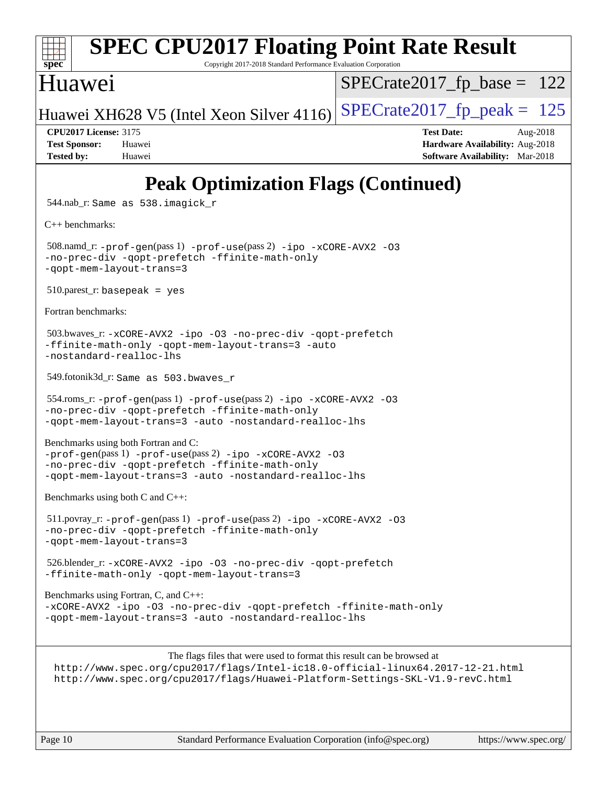